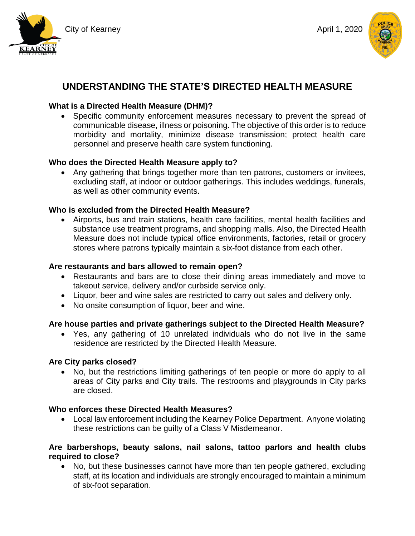





# **UNDERSTANDING THE STATE'S DIRECTED HEALTH MEASURE**

# **What is a Directed Health Measure (DHM)?**

• Specific community enforcement measures necessary to prevent the spread of communicable disease, illness or poisoning. The objective of this order is to reduce morbidity and mortality, minimize disease transmission; protect health care personnel and preserve health care system functioning.

# **Who does the Directed Health Measure apply to?**

• Any gathering that brings together more than ten patrons, customers or invitees, excluding staff, at indoor or outdoor gatherings. This includes weddings, funerals, as well as other community events.

## **Who is excluded from the Directed Health Measure?**

• Airports, bus and train stations, health care facilities, mental health facilities and substance use treatment programs, and shopping malls. Also, the Directed Health Measure does not include typical office environments, factories, retail or grocery stores where patrons typically maintain a six-foot distance from each other.

#### **Are restaurants and bars allowed to remain open?**

- Restaurants and bars are to close their dining areas immediately and move to takeout service, delivery and/or curbside service only.
- Liquor, beer and wine sales are restricted to carry out sales and delivery only.
- No onsite consumption of liquor, beer and wine.

# **Are house parties and private gatherings subject to the Directed Health Measure?**

• Yes, any gathering of 10 unrelated individuals who do not live in the same residence are restricted by the Directed Health Measure.

#### **Are City parks closed?**

• No, but the restrictions limiting gatherings of ten people or more do apply to all areas of City parks and City trails. The restrooms and playgrounds in City parks are closed.

#### **Who enforces these Directed Health Measures?**

• Local law enforcement including the Kearney Police Department. Anyone violating these restrictions can be guilty of a Class V Misdemeanor.

## **Are barbershops, beauty salons, nail salons, tattoo parlors and health clubs required to close?**

• No, but these businesses cannot have more than ten people gathered, excluding staff, at its location and individuals are strongly encouraged to maintain a minimum of six-foot separation.